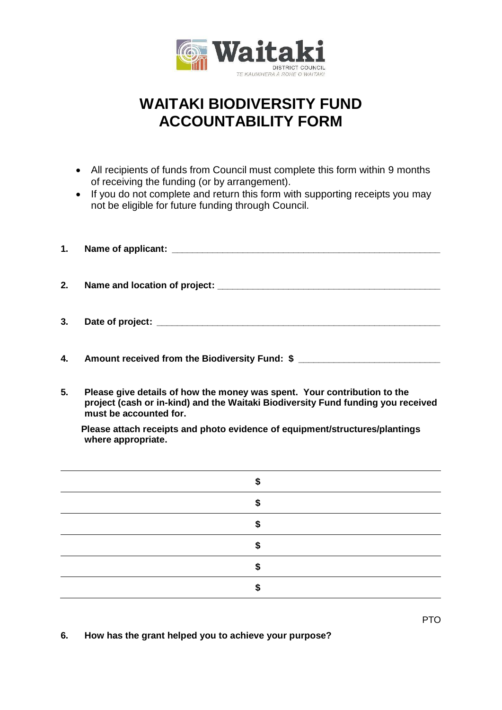

## **WAITAKI BIODIVERSITY FUND ACCOUNTABILITY FORM**

- All recipients of funds from Council must complete this form within 9 months of receiving the funding (or by arrangement).
- If you do not complete and return this form with supporting receipts you may not be eligible for future funding through Council.
- **1. Name of applicant: \_\_\_\_\_\_\_\_\_\_\_\_\_\_\_\_\_\_\_\_\_\_\_\_\_\_\_\_\_\_\_\_\_\_\_\_\_\_\_\_\_\_\_\_\_\_\_\_\_\_\_\_\_ 2. Name and location of project: \_\_\_\_\_\_\_\_\_\_\_\_\_\_\_\_\_\_\_\_\_\_\_\_\_\_\_\_\_\_\_\_\_\_\_\_\_\_\_\_\_\_\_\_ 3. Date of project: \_\_\_\_\_\_\_\_\_\_\_\_\_\_\_\_\_\_\_\_\_\_\_\_\_\_\_\_\_\_\_\_\_\_\_\_\_\_\_\_\_\_\_\_\_\_\_\_\_\_\_\_\_\_\_\_**
- **4. Amount received from the Biodiversity Fund: \$ \_\_\_\_\_\_\_\_\_\_\_\_\_\_\_\_\_\_\_\_\_\_\_\_\_\_\_\_**
- **5. Please give details of how the money was spent. Your contribution to the project (cash or in-kind) and the Waitaki Biodiversity Fund funding you received must be accounted for.**

 **Please attach receipts and photo evidence of equipment/structures/plantings where appropriate.**

**6. How has the grant helped you to achieve your purpose?**

PTO